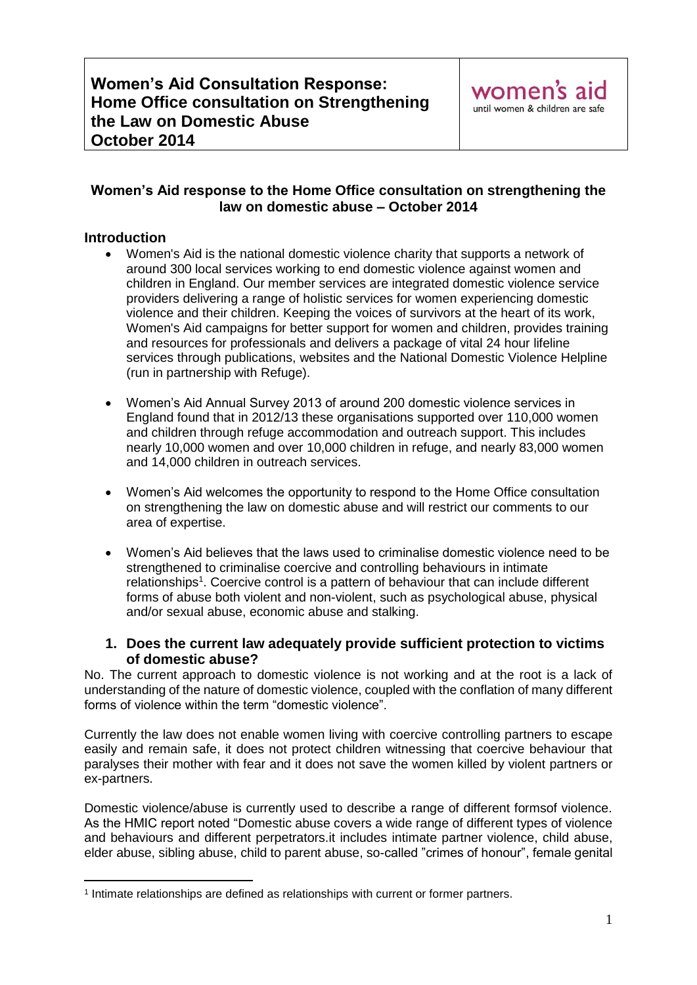### **Women's Aid response to the Home Office consultation on strengthening the law on domestic abuse – October 2014**

### **Introduction**

- Women's Aid is the national domestic violence charity that supports a network of around 300 local services working to end domestic violence against women and children in England. Our member services are integrated domestic violence service providers delivering a range of holistic services for women experiencing domestic violence and their children. Keeping the voices of survivors at the heart of its work, Women's Aid campaigns for better support for women and children, provides training and resources for professionals and delivers a package of vital 24 hour lifeline services through publications, websites and the National Domestic Violence Helpline (run in partnership with Refuge).
- Women's Aid Annual Survey 2013 of around 200 domestic violence services in England found that in 2012/13 these organisations supported over 110,000 women and children through refuge accommodation and outreach support. This includes nearly 10,000 women and over 10,000 children in refuge, and nearly 83,000 women and 14,000 children in outreach services.
- Women's Aid welcomes the opportunity to respond to the Home Office consultation on strengthening the law on domestic abuse and will restrict our comments to our area of expertise.
- Women's Aid believes that the laws used to criminalise domestic violence need to be strengthened to criminalise coercive and controlling behaviours in intimate relationships<sup>1</sup>. Coercive control is a pattern of behaviour that can include different forms of abuse both violent and non-violent, such as psychological abuse, physical and/or sexual abuse, economic abuse and stalking.

#### **1. Does the current law adequately provide sufficient protection to victims of domestic abuse?**

No. The current approach to domestic violence is not working and at the root is a lack of understanding of the nature of domestic violence, coupled with the conflation of many different forms of violence within the term "domestic violence".

Currently the law does not enable women living with coercive controlling partners to escape easily and remain safe, it does not protect children witnessing that coercive behaviour that paralyses their mother with fear and it does not save the women killed by violent partners or ex-partners.

Domestic violence/abuse is currently used to describe a range of different formsof violence. As the HMIC report noted "Domestic abuse covers a wide range of different types of violence and behaviours and different perpetrators.it includes intimate partner violence, child abuse, elder abuse, sibling abuse, child to parent abuse, so-called "crimes of honour", female genital

<sup>1</sup> 1 Intimate relationships are defined as relationships with current or former partners.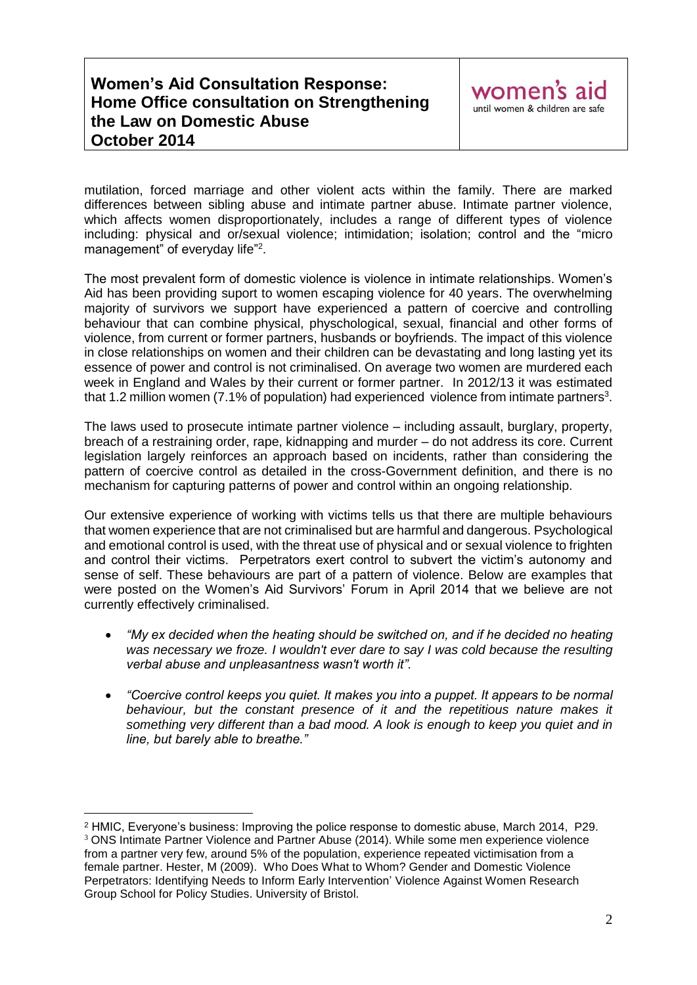mutilation, forced marriage and other violent acts within the family. There are marked differences between sibling abuse and intimate partner abuse. Intimate partner violence, which affects women disproportionately, includes a range of different types of violence including: physical and or/sexual violence; intimidation; isolation; control and the "micro management" of everyday life"<sup>2</sup>.

The most prevalent form of domestic violence is violence in intimate relationships. Women's Aid has been providing suport to women escaping violence for 40 years. The overwhelming majority of survivors we support have experienced a pattern of coercive and controlling behaviour that can combine physical, physchological, sexual, financial and other forms of violence, from current or former partners, husbands or boyfriends. The impact of this violence in close relationships on women and their children can be devastating and long lasting yet its essence of power and control is not criminalised. On average two women are murdered each week in England and Wales by their current or former partner. In 2012/13 it was estimated that 1.2 million women (7.1% of population) had experienced violence from intimate partners<sup>3</sup>.

The laws used to prosecute intimate partner violence – including assault, burglary, property, breach of a restraining order, rape, kidnapping and murder – do not address its core. Current legislation largely reinforces an approach based on incidents, rather than considering the pattern of coercive control as detailed in the cross-Government definition, and there is no mechanism for capturing patterns of power and control within an ongoing relationship.

Our extensive experience of working with victims tells us that there are multiple behaviours that women experience that are not criminalised but are harmful and dangerous. Psychological and emotional control is used, with the threat use of physical and or sexual violence to frighten and control their victims. Perpetrators exert control to subvert the victim's autonomy and sense of self. These behaviours are part of a pattern of violence. Below are examples that were posted on the Women's Aid Survivors' Forum in April 2014 that we believe are not currently effectively criminalised.

- *"My ex decided when the heating should be switched on, and if he decided no heating was necessary we froze. I wouldn't ever dare to say I was cold because the resulting verbal abuse and unpleasantness wasn't worth it".*
- *"Coercive control keeps you quiet. It makes you into a puppet. It appears to be normal behaviour, but the constant presence of it and the repetitious nature makes it something very different than a bad mood. A look is enough to keep you quiet and in line, but barely able to breathe."*

<sup>1</sup> <sup>2</sup> HMIC, Everyone's business: Improving the police response to domestic abuse, March 2014, P29. <sup>3</sup> ONS Intimate Partner Violence and Partner Abuse (2014). While some men experience violence from a partner very few, around 5% of the population, experience repeated victimisation from a female partner. Hester, M (2009). Who Does What to Whom? Gender and Domestic Violence Perpetrators: Identifying Needs to Inform Early Intervention' Violence Against Women Research Group School for Policy Studies. University of Bristol.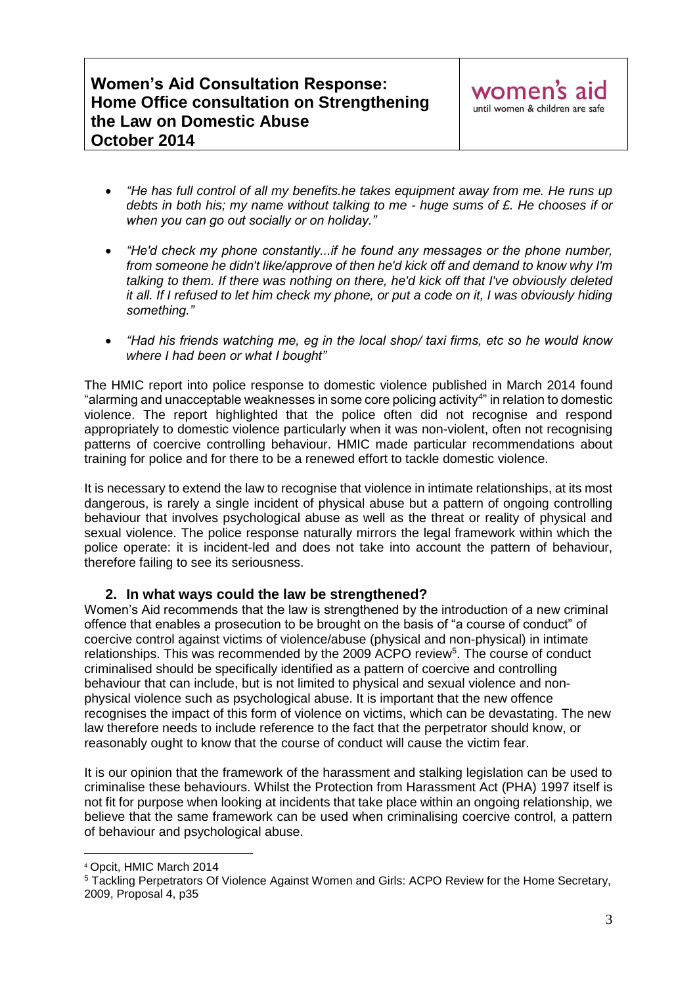- *"He has full control of all my benefits.he takes equipment away from me. He runs up debts in both his; my name without talking to me - huge sums of £. He chooses if or when you can go out socially or on holiday."*
- *"He'd check my phone constantly...if he found any messages or the phone number, from someone he didn't like/approve of then he'd kick off and demand to know why I'm talking to them. If there was nothing on there, he'd kick off that I've obviously deleted it all. If I refused to let him check my phone, or put a code on it, I was obviously hiding something."*
- *"Had his friends watching me, eg in the local shop/ taxi firms, etc so he would know where I had been or what I bought"*

The HMIC report into police response to domestic violence published in March 2014 found "alarming and unacceptable weaknesses in some core policing activity<sup>4</sup>" in relation to domestic violence. The report highlighted that the police often did not recognise and respond appropriately to domestic violence particularly when it was non-violent, often not recognising patterns of coercive controlling behaviour. HMIC made particular recommendations about training for police and for there to be a renewed effort to tackle domestic violence.

It is necessary to extend the law to recognise that violence in intimate relationships, at its most dangerous, is rarely a single incident of physical abuse but a pattern of ongoing controlling behaviour that involves psychological abuse as well as the threat or reality of physical and sexual violence. The police response naturally mirrors the legal framework within which the police operate: it is incident-led and does not take into account the pattern of behaviour, therefore failing to see its seriousness.

#### **2. In what ways could the law be strengthened?**

Women's Aid recommends that the law is strengthened by the introduction of a new criminal offence that enables a prosecution to be brought on the basis of "a course of conduct" of coercive control against victims of violence/abuse (physical and non-physical) in intimate relationships. This was recommended by the 2009 ACPO review<sup>5</sup>. The course of conduct criminalised should be specifically identified as a pattern of coercive and controlling behaviour that can include, but is not limited to physical and sexual violence and nonphysical violence such as psychological abuse. It is important that the new offence recognises the impact of this form of violence on victims, which can be devastating. The new law therefore needs to include reference to the fact that the perpetrator should know, or reasonably ought to know that the course of conduct will cause the victim fear.

It is our opinion that the framework of the harassment and stalking legislation can be used to criminalise these behaviours. Whilst the Protection from Harassment Act (PHA) 1997 itself is not fit for purpose when looking at incidents that take place within an ongoing relationship, we believe that the same framework can be used when criminalising coercive control, a pattern of behaviour and psychological abuse.

<u>.</u>

<sup>4</sup> Opcit, HMIC March 2014

<sup>5</sup> Tackling Perpetrators Of Violence Against Women and Girls: ACPO Review for the Home Secretary, 2009, Proposal 4, p35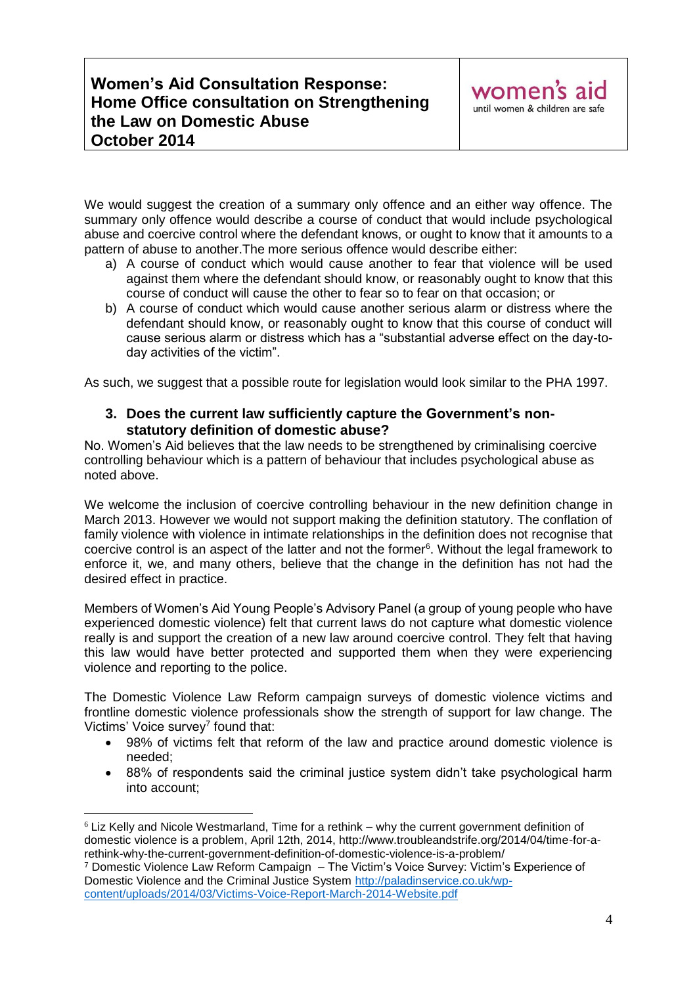We would suggest the creation of a summary only offence and an either way offence. The summary only offence would describe a course of conduct that would include psychological abuse and coercive control where the defendant knows, or ought to know that it amounts to a pattern of abuse to another.The more serious offence would describe either:

- a) A course of conduct which would cause another to fear that violence will be used against them where the defendant should know, or reasonably ought to know that this course of conduct will cause the other to fear so to fear on that occasion; or
- b) A course of conduct which would cause another serious alarm or distress where the defendant should know, or reasonably ought to know that this course of conduct will cause serious alarm or distress which has a "substantial adverse effect on the day-today activities of the victim".

As such, we suggest that a possible route for legislation would look similar to the PHA 1997.

#### **3. Does the current law sufficiently capture the Government's nonstatutory definition of domestic abuse?**

No. Women's Aid believes that the law needs to be strengthened by criminalising coercive controlling behaviour which is a pattern of behaviour that includes psychological abuse as noted above.

We welcome the inclusion of coercive controlling behaviour in the new definition change in March 2013. However we would not support making the definition statutory. The conflation of family violence with violence in intimate relationships in the definition does not recognise that coercive control is an aspect of the latter and not the former<sup>6</sup>. Without the legal framework to enforce it, we, and many others, believe that the change in the definition has not had the desired effect in practice.

Members of Women's Aid Young People's Advisory Panel (a group of young people who have experienced domestic violence) felt that current laws do not capture what domestic violence really is and support the creation of a new law around coercive control. They felt that having this law would have better protected and supported them when they were experiencing violence and reporting to the police.

The Domestic Violence Law Reform campaign surveys of domestic violence victims and frontline domestic violence professionals show the strength of support for law change. The Victims' Voice survey<sup>7</sup> found that:

- 98% of victims felt that reform of the law and practice around domestic violence is needed;
- 88% of respondents said the criminal justice system didn't take psychological harm into account;

1

 $6$  Liz Kelly and Nicole Westmarland, Time for a rethink – why the current government definition of domestic violence is a problem, April 12th, 2014, http://www.troubleandstrife.org/2014/04/time-for-arethink-why-the-current-government-definition-of-domestic-violence-is-a-problem/

<sup>7</sup> Domestic Violence Law Reform Campaign – The Victim's Voice Survey: Victim's Experience of Domestic Violence and the Criminal Justice System [http://paladinservice.co.uk/wp](http://paladinservice.co.uk/wp-content/uploads/2014/03/Victims-Voice-Report-March-2014-Website.pdf)[content/uploads/2014/03/Victims-Voice-Report-March-2014-Website.pdf](http://paladinservice.co.uk/wp-content/uploads/2014/03/Victims-Voice-Report-March-2014-Website.pdf)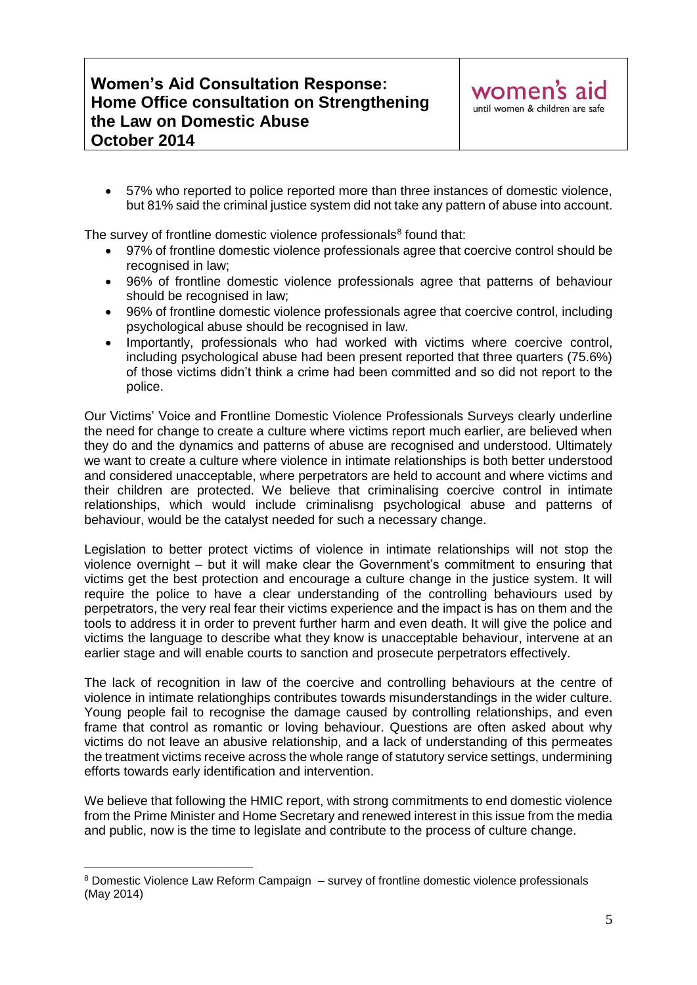57% who reported to police reported more than three instances of domestic violence, but 81% said the criminal justice system did not take any pattern of abuse into account.

The survey of frontline domestic violence professionals<sup>8</sup> found that:

- 97% of frontline domestic violence professionals agree that coercive control should be recognised in law:
- 96% of frontline domestic violence professionals agree that patterns of behaviour should be recognised in law;
- 96% of frontline domestic violence professionals agree that coercive control, including psychological abuse should be recognised in law.
- Importantly, professionals who had worked with victims where coercive control, including psychological abuse had been present reported that three quarters (75.6%) of those victims didn't think a crime had been committed and so did not report to the police.

Our Victims' Voice and Frontline Domestic Violence Professionals Surveys clearly underline the need for change to create a culture where victims report much earlier, are believed when they do and the dynamics and patterns of abuse are recognised and understood. Ultimately we want to create a culture where violence in intimate relationships is both better understood and considered unacceptable, where perpetrators are held to account and where victims and their children are protected. We believe that criminalising coercive control in intimate relationships, which would include criminalisng psychological abuse and patterns of behaviour, would be the catalyst needed for such a necessary change.

Legislation to better protect victims of violence in intimate relationships will not stop the violence overnight – but it will make clear the Government's commitment to ensuring that victims get the best protection and encourage a culture change in the justice system. It will require the police to have a clear understanding of the controlling behaviours used by perpetrators, the very real fear their victims experience and the impact is has on them and the tools to address it in order to prevent further harm and even death. It will give the police and victims the language to describe what they know is unacceptable behaviour, intervene at an earlier stage and will enable courts to sanction and prosecute perpetrators effectively.

The lack of recognition in law of the coercive and controlling behaviours at the centre of violence in intimate relationghips contributes towards misunderstandings in the wider culture. Young people fail to recognise the damage caused by controlling relationships, and even frame that control as romantic or loving behaviour. Questions are often asked about why victims do not leave an abusive relationship, and a lack of understanding of this permeates the treatment victims receive across the whole range of statutory service settings, undermining efforts towards early identification and intervention.

We believe that following the HMIC report, with strong commitments to end domestic violence from the Prime Minister and Home Secretary and renewed interest in this issue from the media and public, now is the time to legislate and contribute to the process of culture change.

1

<sup>8</sup> Domestic Violence Law Reform Campaign – survey of frontline domestic violence professionals (May 2014)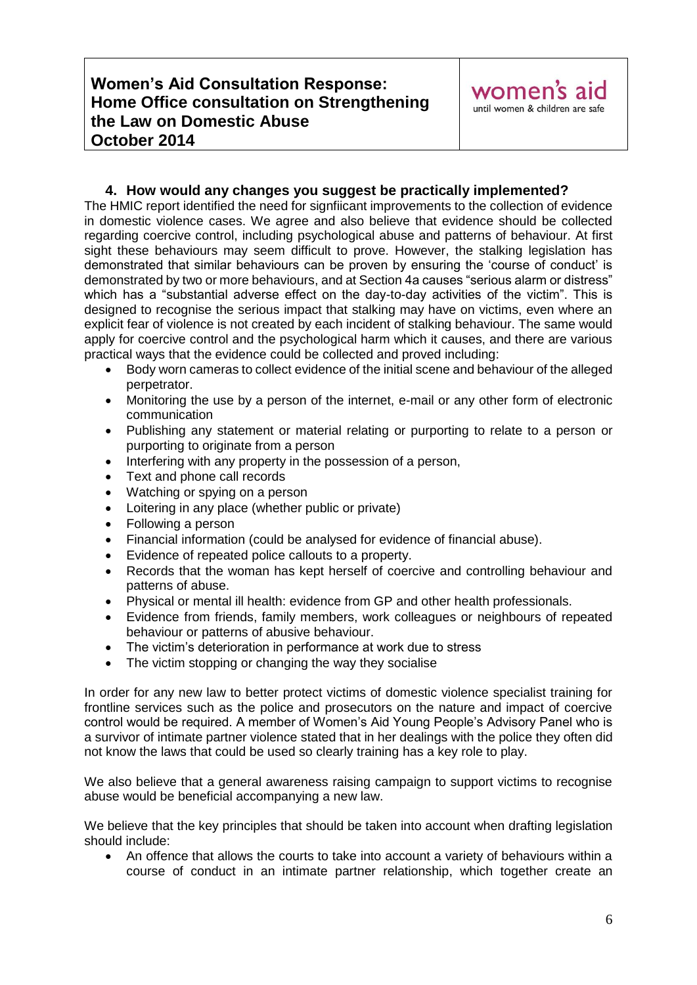#### **4. How would any changes you suggest be practically implemented?**

The HMIC report identified the need for signfiicant improvements to the collection of evidence in domestic violence cases. We agree and also believe that evidence should be collected regarding coercive control, including psychological abuse and patterns of behaviour. At first sight these behaviours may seem difficult to prove. However, the stalking legislation has demonstrated that similar behaviours can be proven by ensuring the 'course of conduct' is demonstrated by two or more behaviours, and at Section 4a causes "serious alarm or distress" which has a "substantial adverse effect on the day-to-day activities of the victim". This is designed to recognise the serious impact that stalking may have on victims, even where an explicit fear of violence is not created by each incident of stalking behaviour. The same would apply for coercive control and the psychological harm which it causes, and there are various practical ways that the evidence could be collected and proved including:

- Body worn cameras to collect evidence of the initial scene and behaviour of the alleged perpetrator.
- Monitoring the use by a person of the internet, e-mail or any other form of electronic communication
- Publishing any statement or material relating or purporting to relate to a person or purporting to originate from a person
- Interfering with any property in the possession of a person,
- Text and phone call records
- Watching or spying on a person
- Loitering in any place (whether public or private)
- Following a person
- Financial information (could be analysed for evidence of financial abuse).
- Evidence of repeated police callouts to a property.
- Records that the woman has kept herself of coercive and controlling behaviour and patterns of abuse.
- Physical or mental ill health: evidence from GP and other health professionals.
- Evidence from friends, family members, work colleagues or neighbours of repeated behaviour or patterns of abusive behaviour.
- The victim's deterioration in performance at work due to stress
- The victim stopping or changing the way they socialise

In order for any new law to better protect victims of domestic violence specialist training for frontline services such as the police and prosecutors on the nature and impact of coercive control would be required. A member of Women's Aid Young People's Advisory Panel who is a survivor of intimate partner violence stated that in her dealings with the police they often did not know the laws that could be used so clearly training has a key role to play.

We also believe that a general awareness raising campaign to support victims to recognise abuse would be beneficial accompanying a new law.

We believe that the key principles that should be taken into account when drafting legislation should include:

 An offence that allows the courts to take into account a variety of behaviours within a course of conduct in an intimate partner relationship, which together create an